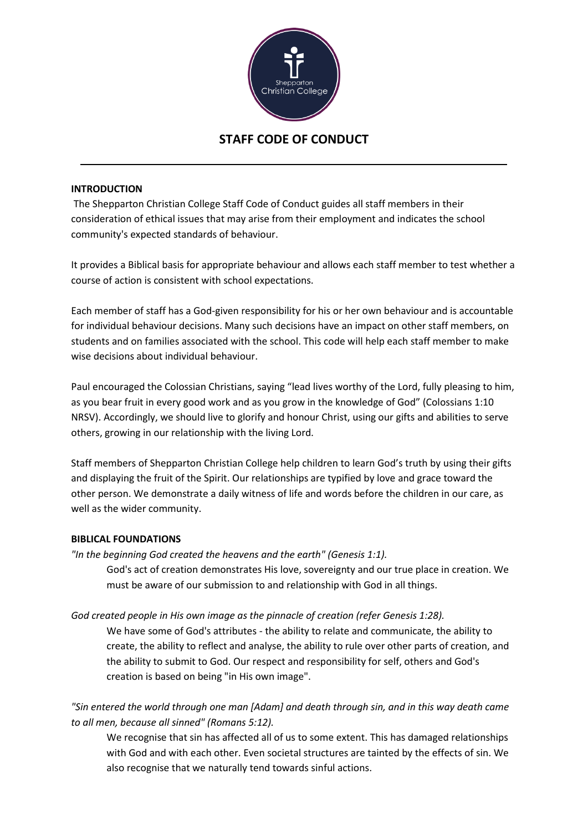

# **STAFF CODE OF CONDUCT**

#### **INTRODUCTION**

The Shepparton Christian College Staff Code of Conduct guides all staff members in their consideration of ethical issues that may arise from their employment and indicates the school community's expected standards of behaviour.

It provides a Biblical basis for appropriate behaviour and allows each staff member to test whether a course of action is consistent with school expectations.

Each member of staff has a God-given responsibility for his or her own behaviour and is accountable for individual behaviour decisions. Many such decisions have an impact on other staff members, on students and on families associated with the school. This code will help each staff member to make wise decisions about individual behaviour.

Paul encouraged the Colossian Christians, saying "lead lives worthy of the Lord, fully pleasing to him, as you bear fruit in every good work and as you grow in the knowledge of God" (Colossians 1:10 NRSV). Accordingly, we should live to glorify and honour Christ, using our gifts and abilities to serve others, growing in our relationship with the living Lord.

Staff members of Shepparton Christian College help children to learn God's truth by using their gifts and displaying the fruit of the Spirit. Our relationships are typified by love and grace toward the other person. We demonstrate a daily witness of life and words before the children in our care, as well as the wider community.

#### **BIBLICAL FOUNDATIONS**

*"In the beginning God created the heavens and the earth" (Genesis 1:1).*  God's act of creation demonstrates His love, sovereignty and our true place in creation. We must be aware of our submission to and relationship with God in all things.

# *God created people in His own image as the pinnacle of creation (refer Genesis 1:28).*

We have some of God's attributes - the ability to relate and communicate, the ability to create, the ability to reflect and analyse, the ability to rule over other parts of creation, and the ability to submit to God. Our respect and responsibility for self, others and God's creation is based on being "in His own image".

*"Sin entered the world through one man [Adam] and death through sin, and in this way death came to all men, because all sinned" (Romans 5:12).* 

We recognise that sin has affected all of us to some extent. This has damaged relationships with God and with each other. Even societal structures are tainted by the effects of sin. We also recognise that we naturally tend towards sinful actions.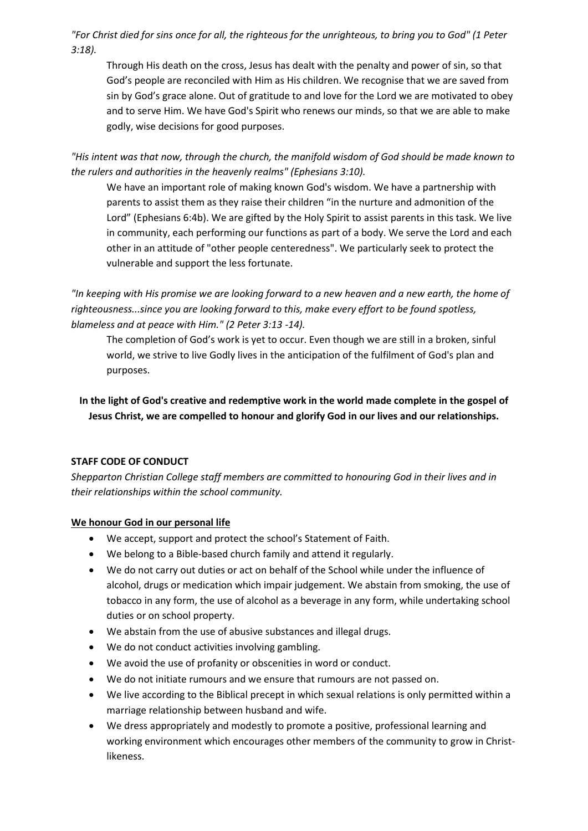*"For Christ died for sins once for all, the righteous for the unrighteous, to bring you to God" (1 Peter 3:18).* 

Through His death on the cross, Jesus has dealt with the penalty and power of sin, so that God's people are reconciled with Him as His children. We recognise that we are saved from sin by God's grace alone. Out of gratitude to and love for the Lord we are motivated to obey and to serve Him. We have God's Spirit who renews our minds, so that we are able to make godly, wise decisions for good purposes.

*"His intent was that now, through the church, the manifold wisdom of God should be made known to the rulers and authorities in the heavenly realms" (Ephesians 3:10).* 

We have an important role of making known God's wisdom. We have a partnership with parents to assist them as they raise their children "in the nurture and admonition of the Lord" (Ephesians 6:4b). We are gifted by the Holy Spirit to assist parents in this task. We live in community, each performing our functions as part of a body. We serve the Lord and each other in an attitude of "other people centeredness". We particularly seek to protect the vulnerable and support the less fortunate.

*"In keeping with His promise we are looking forward to a new heaven and a new earth, the home of righteousness...since you are looking forward to this, make every effort to be found spotless, blameless and at peace with Him." (2 Peter 3:13 -14).* 

The completion of God's work is yet to occur. Even though we are still in a broken, sinful world, we strive to live Godly lives in the anticipation of the fulfilment of God's plan and purposes.

**In the light of God's creative and redemptive work in the world made complete in the gospel of Jesus Christ, we are compelled to honour and glorify God in our lives and our relationships.** 

# **STAFF CODE OF CONDUCT**

*Shepparton Christian College staff members are committed to honouring God in their lives and in their relationships within the school community.* 

# **We honour God in our personal life**

- We accept, support and protect the school's Statement of Faith.
- We belong to a Bible-based church family and attend it regularly.
- We do not carry out duties or act on behalf of the School while under the influence of alcohol, drugs or medication which impair judgement. We abstain from smoking, the use of tobacco in any form, the use of alcohol as a beverage in any form, while undertaking school duties or on school property.
- We abstain from the use of abusive substances and illegal drugs.
- We do not conduct activities involving gambling.
- We avoid the use of profanity or obscenities in word or conduct.
- We do not initiate rumours and we ensure that rumours are not passed on.
- We live according to the Biblical precept in which sexual relations is only permitted within a marriage relationship between husband and wife.
- We dress appropriately and modestly to promote a positive, professional learning and working environment which encourages other members of the community to grow in Christlikeness.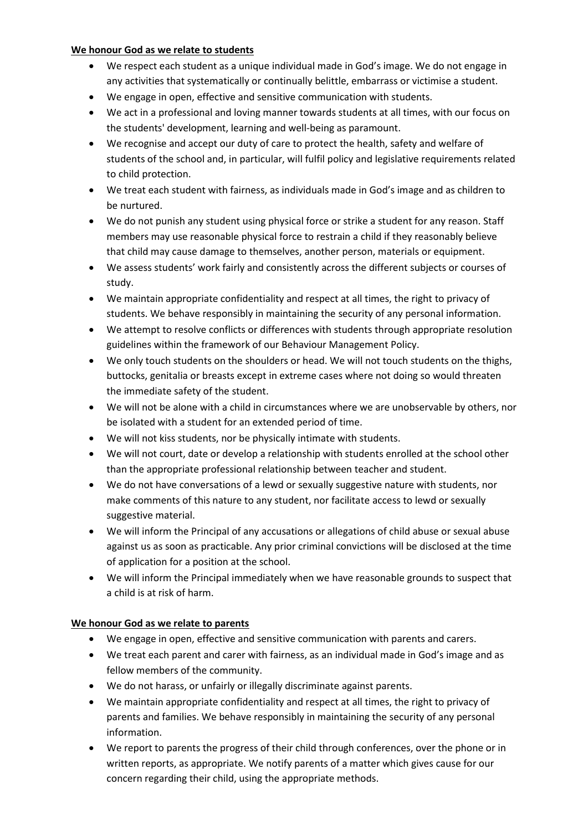#### **We honour God as we relate to students**

- We respect each student as a unique individual made in God's image. We do not engage in any activities that systematically or continually belittle, embarrass or victimise a student.
- We engage in open, effective and sensitive communication with students.
- We act in a professional and loving manner towards students at all times, with our focus on the students' development, learning and well-being as paramount.
- We recognise and accept our duty of care to protect the health, safety and welfare of students of the school and, in particular, will fulfil policy and legislative requirements related to child protection.
- We treat each student with fairness, as individuals made in God's image and as children to be nurtured.
- We do not punish any student using physical force or strike a student for any reason. Staff members may use reasonable physical force to restrain a child if they reasonably believe that child may cause damage to themselves, another person, materials or equipment.
- We assess students' work fairly and consistently across the different subjects or courses of study.
- We maintain appropriate confidentiality and respect at all times, the right to privacy of students. We behave responsibly in maintaining the security of any personal information.
- We attempt to resolve conflicts or differences with students through appropriate resolution guidelines within the framework of our Behaviour Management Policy.
- We only touch students on the shoulders or head. We will not touch students on the thighs, buttocks, genitalia or breasts except in extreme cases where not doing so would threaten the immediate safety of the student.
- We will not be alone with a child in circumstances where we are unobservable by others, nor be isolated with a student for an extended period of time.
- We will not kiss students, nor be physically intimate with students.
- We will not court, date or develop a relationship with students enrolled at the school other than the appropriate professional relationship between teacher and student.
- We do not have conversations of a lewd or sexually suggestive nature with students, nor make comments of this nature to any student, nor facilitate access to lewd or sexually suggestive material.
- We will inform the Principal of any accusations or allegations of child abuse or sexual abuse against us as soon as practicable. Any prior criminal convictions will be disclosed at the time of application for a position at the school.
- We will inform the Principal immediately when we have reasonable grounds to suspect that a child is at risk of harm.

# **We honour God as we relate to parents**

- We engage in open, effective and sensitive communication with parents and carers.
- We treat each parent and carer with fairness, as an individual made in God's image and as fellow members of the community.
- We do not harass, or unfairly or illegally discriminate against parents.
- We maintain appropriate confidentiality and respect at all times, the right to privacy of parents and families. We behave responsibly in maintaining the security of any personal information.
- We report to parents the progress of their child through conferences, over the phone or in written reports, as appropriate. We notify parents of a matter which gives cause for our concern regarding their child, using the appropriate methods.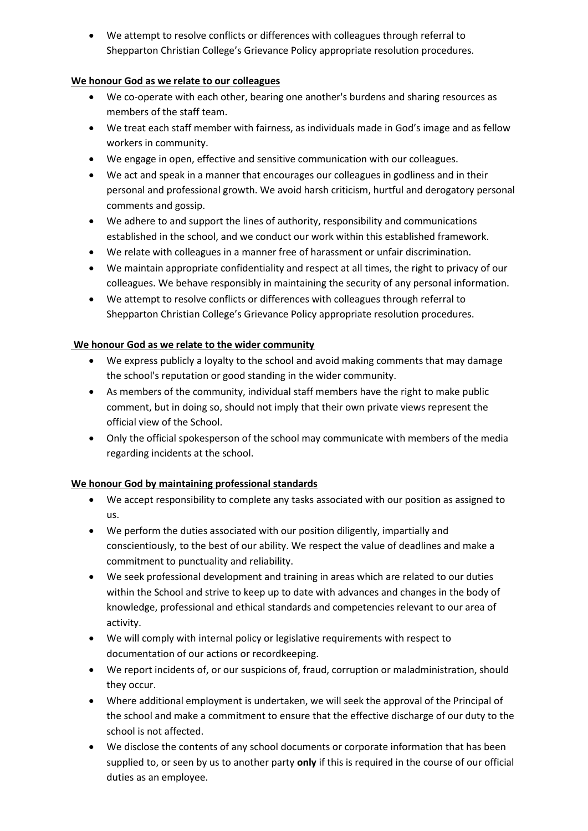• We attempt to resolve conflicts or differences with colleagues through referral to Shepparton Christian College's Grievance Policy appropriate resolution procedures.

# **We honour God as we relate to our colleagues**

- We co-operate with each other, bearing one another's burdens and sharing resources as members of the staff team.
- We treat each staff member with fairness, as individuals made in God's image and as fellow workers in community.
- We engage in open, effective and sensitive communication with our colleagues.
- We act and speak in a manner that encourages our colleagues in godliness and in their personal and professional growth. We avoid harsh criticism, hurtful and derogatory personal comments and gossip.
- We adhere to and support the lines of authority, responsibility and communications established in the school, and we conduct our work within this established framework.
- We relate with colleagues in a manner free of harassment or unfair discrimination.
- We maintain appropriate confidentiality and respect at all times, the right to privacy of our colleagues. We behave responsibly in maintaining the security of any personal information.
- We attempt to resolve conflicts or differences with colleagues through referral to Shepparton Christian College's Grievance Policy appropriate resolution procedures.

# **We honour God as we relate to the wider community**

- We express publicly a loyalty to the school and avoid making comments that may damage the school's reputation or good standing in the wider community.
- As members of the community, individual staff members have the right to make public comment, but in doing so, should not imply that their own private views represent the official view of the School.
- Only the official spokesperson of the school may communicate with members of the media regarding incidents at the school.

# **We honour God by maintaining professional standards**

- We accept responsibility to complete any tasks associated with our position as assigned to us.
- We perform the duties associated with our position diligently, impartially and conscientiously, to the best of our ability. We respect the value of deadlines and make a commitment to punctuality and reliability.
- We seek professional development and training in areas which are related to our duties within the School and strive to keep up to date with advances and changes in the body of knowledge, professional and ethical standards and competencies relevant to our area of activity.
- We will comply with internal policy or legislative requirements with respect to documentation of our actions or recordkeeping.
- We report incidents of, or our suspicions of, fraud, corruption or maladministration, should they occur.
- Where additional employment is undertaken, we will seek the approval of the Principal of the school and make a commitment to ensure that the effective discharge of our duty to the school is not affected.
- We disclose the contents of any school documents or corporate information that has been supplied to, or seen by us to another party **only** if this is required in the course of our official duties as an employee.